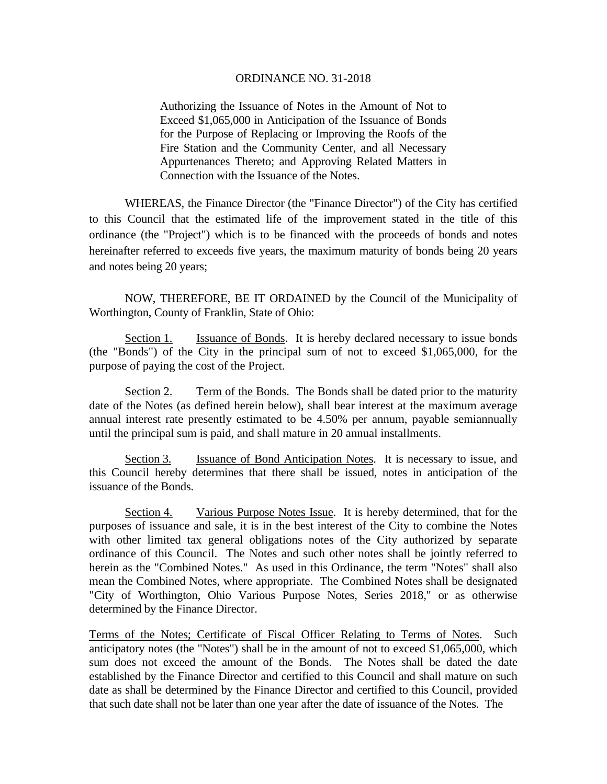Authorizing the Issuance of Notes in the Amount of Not to Exceed \$1,065,000 in Anticipation of the Issuance of Bonds for the Purpose of Replacing or Improving the Roofs of the Fire Station and the Community Center, and all Necessary Appurtenances Thereto; and Approving Related Matters in Connection with the Issuance of the Notes.

 WHEREAS, the Finance Director (the "Finance Director") of the City has certified to this Council that the estimated life of the improvement stated in the title of this ordinance (the "Project") which is to be financed with the proceeds of bonds and notes hereinafter referred to exceeds five years, the maximum maturity of bonds being 20 years and notes being 20 years;

 NOW, THEREFORE, BE IT ORDAINED by the Council of the Municipality of Worthington, County of Franklin, State of Ohio:

Section 1. Issuance of Bonds. It is hereby declared necessary to issue bonds (the "Bonds") of the City in the principal sum of not to exceed \$1,065,000, for the purpose of paying the cost of the Project.

Section 2. Term of the Bonds. The Bonds shall be dated prior to the maturity date of the Notes (as defined herein below), shall bear interest at the maximum average annual interest rate presently estimated to be 4.50% per annum, payable semiannually until the principal sum is paid, and shall mature in 20 annual installments.

Section 3. Issuance of Bond Anticipation Notes. It is necessary to issue, and this Council hereby determines that there shall be issued, notes in anticipation of the issuance of the Bonds.

Section 4. Various Purpose Notes Issue. It is hereby determined, that for the purposes of issuance and sale, it is in the best interest of the City to combine the Notes with other limited tax general obligations notes of the City authorized by separate ordinance of this Council. The Notes and such other notes shall be jointly referred to herein as the "Combined Notes." As used in this Ordinance, the term "Notes" shall also mean the Combined Notes, where appropriate. The Combined Notes shall be designated "City of Worthington, Ohio Various Purpose Notes, Series 2018," or as otherwise determined by the Finance Director.

Terms of the Notes; Certificate of Fiscal Officer Relating to Terms of Notes. Such anticipatory notes (the "Notes") shall be in the amount of not to exceed \$1,065,000, which sum does not exceed the amount of the Bonds. The Notes shall be dated the date established by the Finance Director and certified to this Council and shall mature on such date as shall be determined by the Finance Director and certified to this Council, provided that such date shall not be later than one year after the date of issuance of the Notes. The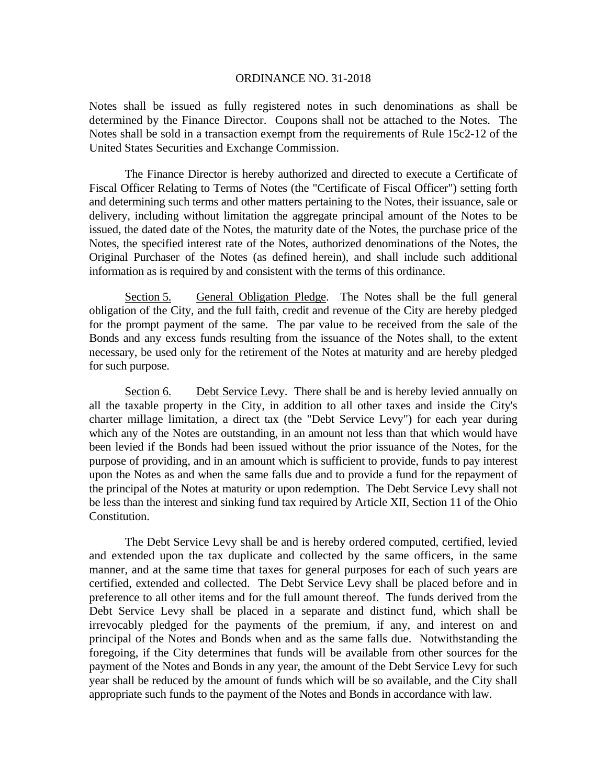Notes shall be issued as fully registered notes in such denominations as shall be determined by the Finance Director. Coupons shall not be attached to the Notes. The Notes shall be sold in a transaction exempt from the requirements of Rule 15c2-12 of the United States Securities and Exchange Commission.

 The Finance Director is hereby authorized and directed to execute a Certificate of Fiscal Officer Relating to Terms of Notes (the "Certificate of Fiscal Officer") setting forth and determining such terms and other matters pertaining to the Notes, their issuance, sale or delivery, including without limitation the aggregate principal amount of the Notes to be issued, the dated date of the Notes, the maturity date of the Notes, the purchase price of the Notes, the specified interest rate of the Notes, authorized denominations of the Notes, the Original Purchaser of the Notes (as defined herein), and shall include such additional information as is required by and consistent with the terms of this ordinance.

Section 5. General Obligation Pledge. The Notes shall be the full general obligation of the City, and the full faith, credit and revenue of the City are hereby pledged for the prompt payment of the same. The par value to be received from the sale of the Bonds and any excess funds resulting from the issuance of the Notes shall, to the extent necessary, be used only for the retirement of the Notes at maturity and are hereby pledged for such purpose.

Section 6. Debt Service Levy. There shall be and is hereby levied annually on all the taxable property in the City, in addition to all other taxes and inside the City's charter millage limitation, a direct tax (the "Debt Service Levy") for each year during which any of the Notes are outstanding, in an amount not less than that which would have been levied if the Bonds had been issued without the prior issuance of the Notes, for the purpose of providing, and in an amount which is sufficient to provide, funds to pay interest upon the Notes as and when the same falls due and to provide a fund for the repayment of the principal of the Notes at maturity or upon redemption. The Debt Service Levy shall not be less than the interest and sinking fund tax required by Article XII, Section 11 of the Ohio Constitution.

The Debt Service Levy shall be and is hereby ordered computed, certified, levied and extended upon the tax duplicate and collected by the same officers, in the same manner, and at the same time that taxes for general purposes for each of such years are certified, extended and collected. The Debt Service Levy shall be placed before and in preference to all other items and for the full amount thereof. The funds derived from the Debt Service Levy shall be placed in a separate and distinct fund, which shall be irrevocably pledged for the payments of the premium, if any, and interest on and principal of the Notes and Bonds when and as the same falls due. Notwithstanding the foregoing, if the City determines that funds will be available from other sources for the payment of the Notes and Bonds in any year, the amount of the Debt Service Levy for such year shall be reduced by the amount of funds which will be so available, and the City shall appropriate such funds to the payment of the Notes and Bonds in accordance with law.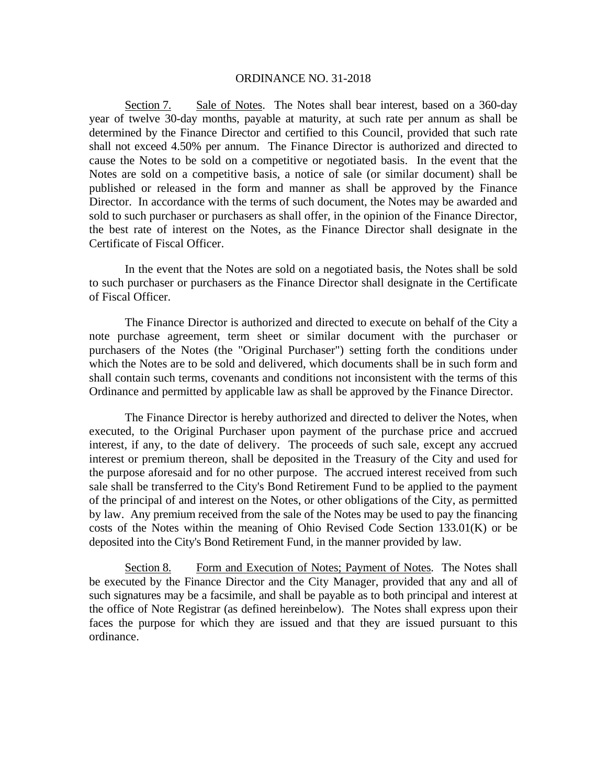Section 7. Sale of Notes. The Notes shall bear interest, based on a 360-day year of twelve 30-day months, payable at maturity, at such rate per annum as shall be determined by the Finance Director and certified to this Council, provided that such rate shall not exceed 4.50% per annum. The Finance Director is authorized and directed to cause the Notes to be sold on a competitive or negotiated basis. In the event that the Notes are sold on a competitive basis, a notice of sale (or similar document) shall be published or released in the form and manner as shall be approved by the Finance Director. In accordance with the terms of such document, the Notes may be awarded and sold to such purchaser or purchasers as shall offer, in the opinion of the Finance Director, the best rate of interest on the Notes, as the Finance Director shall designate in the Certificate of Fiscal Officer.

In the event that the Notes are sold on a negotiated basis, the Notes shall be sold to such purchaser or purchasers as the Finance Director shall designate in the Certificate of Fiscal Officer.

The Finance Director is authorized and directed to execute on behalf of the City a note purchase agreement, term sheet or similar document with the purchaser or purchasers of the Notes (the "Original Purchaser") setting forth the conditions under which the Notes are to be sold and delivered, which documents shall be in such form and shall contain such terms, covenants and conditions not inconsistent with the terms of this Ordinance and permitted by applicable law as shall be approved by the Finance Director.

The Finance Director is hereby authorized and directed to deliver the Notes, when executed, to the Original Purchaser upon payment of the purchase price and accrued interest, if any, to the date of delivery. The proceeds of such sale, except any accrued interest or premium thereon, shall be deposited in the Treasury of the City and used for the purpose aforesaid and for no other purpose. The accrued interest received from such sale shall be transferred to the City's Bond Retirement Fund to be applied to the payment of the principal of and interest on the Notes, or other obligations of the City, as permitted by law. Any premium received from the sale of the Notes may be used to pay the financing costs of the Notes within the meaning of Ohio Revised Code Section 133.01(K) or be deposited into the City's Bond Retirement Fund, in the manner provided by law.

Section 8. Form and Execution of Notes; Payment of Notes. The Notes shall be executed by the Finance Director and the City Manager, provided that any and all of such signatures may be a facsimile, and shall be payable as to both principal and interest at the office of Note Registrar (as defined hereinbelow). The Notes shall express upon their faces the purpose for which they are issued and that they are issued pursuant to this ordinance.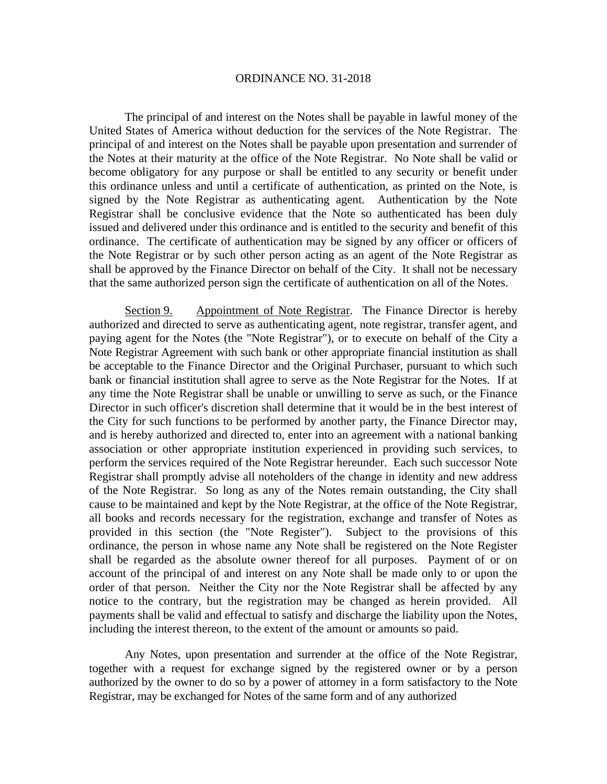The principal of and interest on the Notes shall be payable in lawful money of the United States of America without deduction for the services of the Note Registrar. The principal of and interest on the Notes shall be payable upon presentation and surrender of the Notes at their maturity at the office of the Note Registrar. No Note shall be valid or become obligatory for any purpose or shall be entitled to any security or benefit under this ordinance unless and until a certificate of authentication, as printed on the Note, is signed by the Note Registrar as authenticating agent. Authentication by the Note Registrar shall be conclusive evidence that the Note so authenticated has been duly issued and delivered under this ordinance and is entitled to the security and benefit of this ordinance. The certificate of authentication may be signed by any officer or officers of the Note Registrar or by such other person acting as an agent of the Note Registrar as shall be approved by the Finance Director on behalf of the City. It shall not be necessary that the same authorized person sign the certificate of authentication on all of the Notes.

Section 9. Appointment of Note Registrar. The Finance Director is hereby authorized and directed to serve as authenticating agent, note registrar, transfer agent, and paying agent for the Notes (the "Note Registrar"), or to execute on behalf of the City a Note Registrar Agreement with such bank or other appropriate financial institution as shall be acceptable to the Finance Director and the Original Purchaser, pursuant to which such bank or financial institution shall agree to serve as the Note Registrar for the Notes. If at any time the Note Registrar shall be unable or unwilling to serve as such, or the Finance Director in such officer's discretion shall determine that it would be in the best interest of the City for such functions to be performed by another party, the Finance Director may, and is hereby authorized and directed to, enter into an agreement with a national banking association or other appropriate institution experienced in providing such services, to perform the services required of the Note Registrar hereunder. Each such successor Note Registrar shall promptly advise all noteholders of the change in identity and new address of the Note Registrar. So long as any of the Notes remain outstanding, the City shall cause to be maintained and kept by the Note Registrar, at the office of the Note Registrar, all books and records necessary for the registration, exchange and transfer of Notes as provided in this section (the "Note Register"). Subject to the provisions of this ordinance, the person in whose name any Note shall be registered on the Note Register shall be regarded as the absolute owner thereof for all purposes. Payment of or on account of the principal of and interest on any Note shall be made only to or upon the order of that person. Neither the City nor the Note Registrar shall be affected by any notice to the contrary, but the registration may be changed as herein provided. All payments shall be valid and effectual to satisfy and discharge the liability upon the Notes, including the interest thereon, to the extent of the amount or amounts so paid.

Any Notes, upon presentation and surrender at the office of the Note Registrar, together with a request for exchange signed by the registered owner or by a person authorized by the owner to do so by a power of attorney in a form satisfactory to the Note Registrar, may be exchanged for Notes of the same form and of any authorized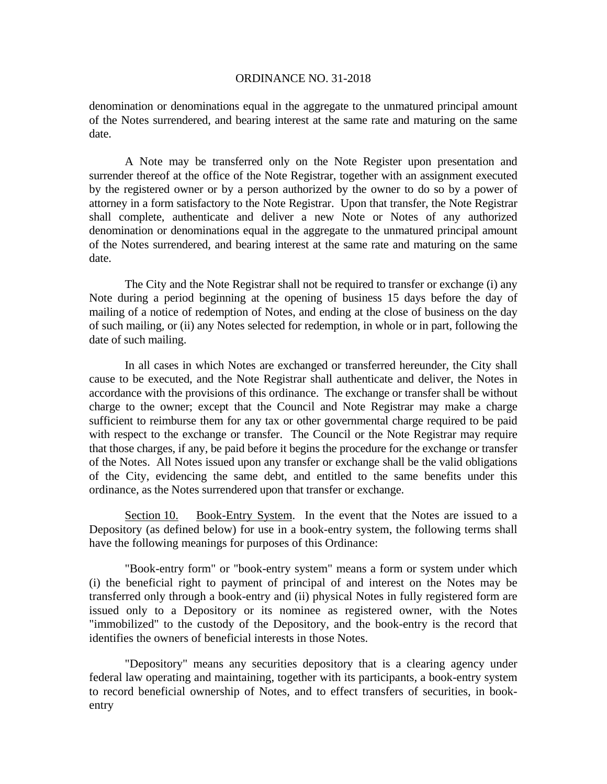denomination or denominations equal in the aggregate to the unmatured principal amount of the Notes surrendered, and bearing interest at the same rate and maturing on the same date.

A Note may be transferred only on the Note Register upon presentation and surrender thereof at the office of the Note Registrar, together with an assignment executed by the registered owner or by a person authorized by the owner to do so by a power of attorney in a form satisfactory to the Note Registrar. Upon that transfer, the Note Registrar shall complete, authenticate and deliver a new Note or Notes of any authorized denomination or denominations equal in the aggregate to the unmatured principal amount of the Notes surrendered, and bearing interest at the same rate and maturing on the same date.

The City and the Note Registrar shall not be required to transfer or exchange (i) any Note during a period beginning at the opening of business 15 days before the day of mailing of a notice of redemption of Notes, and ending at the close of business on the day of such mailing, or (ii) any Notes selected for redemption, in whole or in part, following the date of such mailing.

In all cases in which Notes are exchanged or transferred hereunder, the City shall cause to be executed, and the Note Registrar shall authenticate and deliver, the Notes in accordance with the provisions of this ordinance. The exchange or transfer shall be without charge to the owner; except that the Council and Note Registrar may make a charge sufficient to reimburse them for any tax or other governmental charge required to be paid with respect to the exchange or transfer. The Council or the Note Registrar may require that those charges, if any, be paid before it begins the procedure for the exchange or transfer of the Notes. All Notes issued upon any transfer or exchange shall be the valid obligations of the City, evidencing the same debt, and entitled to the same benefits under this ordinance, as the Notes surrendered upon that transfer or exchange.

Section 10. Book-Entry System. In the event that the Notes are issued to a Depository (as defined below) for use in a book-entry system, the following terms shall have the following meanings for purposes of this Ordinance:

"Book-entry form" or "book-entry system" means a form or system under which (i) the beneficial right to payment of principal of and interest on the Notes may be transferred only through a book-entry and (ii) physical Notes in fully registered form are issued only to a Depository or its nominee as registered owner, with the Notes "immobilized" to the custody of the Depository, and the book-entry is the record that identifies the owners of beneficial interests in those Notes.

"Depository" means any securities depository that is a clearing agency under federal law operating and maintaining, together with its participants, a book-entry system to record beneficial ownership of Notes, and to effect transfers of securities, in bookentry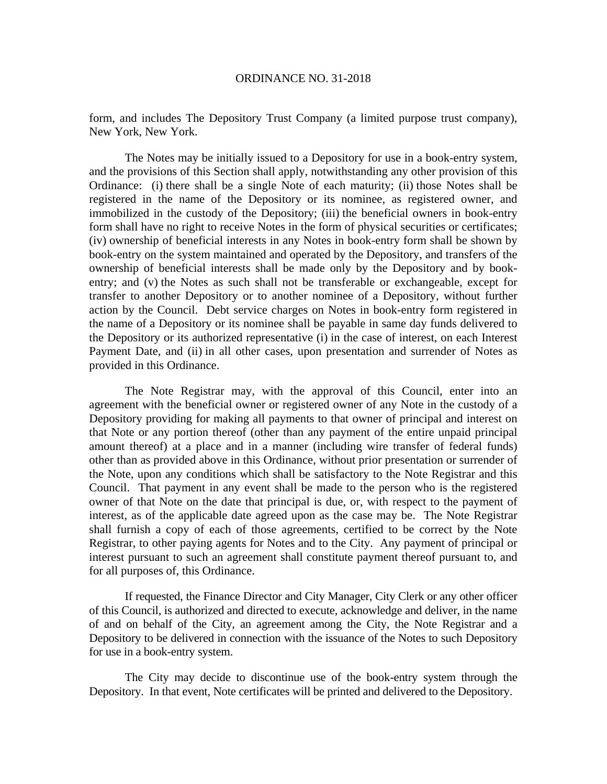form, and includes The Depository Trust Company (a limited purpose trust company), New York, New York.

The Notes may be initially issued to a Depository for use in a book-entry system, and the provisions of this Section shall apply, notwithstanding any other provision of this Ordinance: (i) there shall be a single Note of each maturity; (ii) those Notes shall be registered in the name of the Depository or its nominee, as registered owner, and immobilized in the custody of the Depository; (iii) the beneficial owners in book-entry form shall have no right to receive Notes in the form of physical securities or certificates; (iv) ownership of beneficial interests in any Notes in book-entry form shall be shown by book-entry on the system maintained and operated by the Depository, and transfers of the ownership of beneficial interests shall be made only by the Depository and by bookentry; and (v) the Notes as such shall not be transferable or exchangeable, except for transfer to another Depository or to another nominee of a Depository, without further action by the Council. Debt service charges on Notes in book-entry form registered in the name of a Depository or its nominee shall be payable in same day funds delivered to the Depository or its authorized representative (i) in the case of interest, on each Interest Payment Date, and (ii) in all other cases, upon presentation and surrender of Notes as provided in this Ordinance.

The Note Registrar may, with the approval of this Council, enter into an agreement with the beneficial owner or registered owner of any Note in the custody of a Depository providing for making all payments to that owner of principal and interest on that Note or any portion thereof (other than any payment of the entire unpaid principal amount thereof) at a place and in a manner (including wire transfer of federal funds) other than as provided above in this Ordinance, without prior presentation or surrender of the Note, upon any conditions which shall be satisfactory to the Note Registrar and this Council. That payment in any event shall be made to the person who is the registered owner of that Note on the date that principal is due, or, with respect to the payment of interest, as of the applicable date agreed upon as the case may be. The Note Registrar shall furnish a copy of each of those agreements, certified to be correct by the Note Registrar, to other paying agents for Notes and to the City. Any payment of principal or interest pursuant to such an agreement shall constitute payment thereof pursuant to, and for all purposes of, this Ordinance.

If requested, the Finance Director and City Manager, City Clerk or any other officer of this Council, is authorized and directed to execute, acknowledge and deliver, in the name of and on behalf of the City, an agreement among the City, the Note Registrar and a Depository to be delivered in connection with the issuance of the Notes to such Depository for use in a book-entry system.

 The City may decide to discontinue use of the book-entry system through the Depository. In that event, Note certificates will be printed and delivered to the Depository.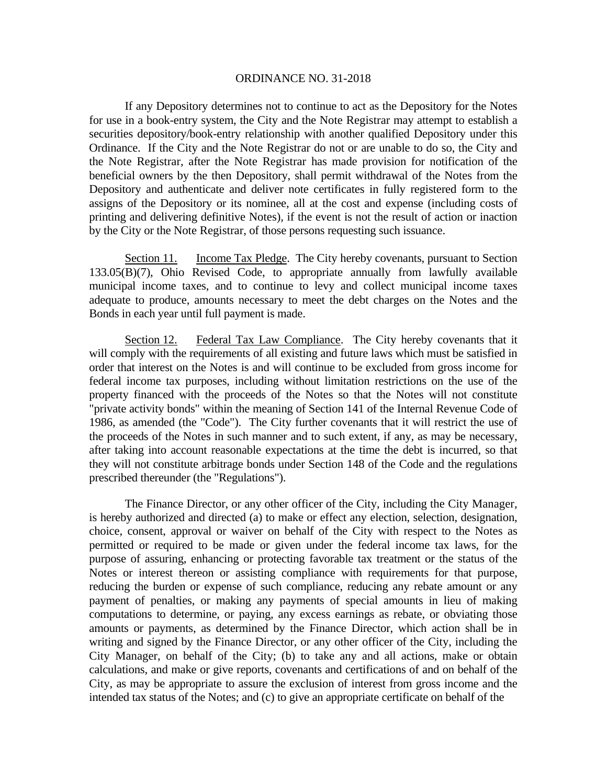If any Depository determines not to continue to act as the Depository for the Notes for use in a book-entry system, the City and the Note Registrar may attempt to establish a securities depository/book-entry relationship with another qualified Depository under this Ordinance. If the City and the Note Registrar do not or are unable to do so, the City and the Note Registrar, after the Note Registrar has made provision for notification of the beneficial owners by the then Depository, shall permit withdrawal of the Notes from the Depository and authenticate and deliver note certificates in fully registered form to the assigns of the Depository or its nominee, all at the cost and expense (including costs of printing and delivering definitive Notes), if the event is not the result of action or inaction by the City or the Note Registrar, of those persons requesting such issuance.

Section 11. Income Tax Pledge. The City hereby covenants, pursuant to Section 133.05(B)(7), Ohio Revised Code, to appropriate annually from lawfully available municipal income taxes, and to continue to levy and collect municipal income taxes adequate to produce, amounts necessary to meet the debt charges on the Notes and the Bonds in each year until full payment is made.

Section 12. Federal Tax Law Compliance. The City hereby covenants that it will comply with the requirements of all existing and future laws which must be satisfied in order that interest on the Notes is and will continue to be excluded from gross income for federal income tax purposes, including without limitation restrictions on the use of the property financed with the proceeds of the Notes so that the Notes will not constitute "private activity bonds" within the meaning of Section 141 of the Internal Revenue Code of 1986, as amended (the "Code"). The City further covenants that it will restrict the use of the proceeds of the Notes in such manner and to such extent, if any, as may be necessary, after taking into account reasonable expectations at the time the debt is incurred, so that they will not constitute arbitrage bonds under Section 148 of the Code and the regulations prescribed thereunder (the "Regulations").

 The Finance Director, or any other officer of the City, including the City Manager, is hereby authorized and directed (a) to make or effect any election, selection, designation, choice, consent, approval or waiver on behalf of the City with respect to the Notes as permitted or required to be made or given under the federal income tax laws, for the purpose of assuring, enhancing or protecting favorable tax treatment or the status of the Notes or interest thereon or assisting compliance with requirements for that purpose, reducing the burden or expense of such compliance, reducing any rebate amount or any payment of penalties, or making any payments of special amounts in lieu of making computations to determine, or paying, any excess earnings as rebate, or obviating those amounts or payments, as determined by the Finance Director, which action shall be in writing and signed by the Finance Director, or any other officer of the City, including the City Manager, on behalf of the City; (b) to take any and all actions, make or obtain calculations, and make or give reports, covenants and certifications of and on behalf of the City, as may be appropriate to assure the exclusion of interest from gross income and the intended tax status of the Notes; and (c) to give an appropriate certificate on behalf of the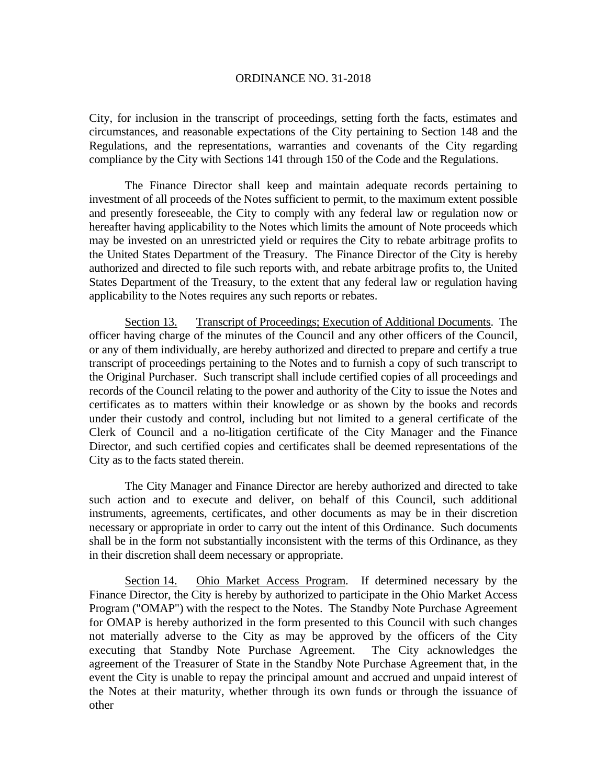City, for inclusion in the transcript of proceedings, setting forth the facts, estimates and circumstances, and reasonable expectations of the City pertaining to Section 148 and the Regulations, and the representations, warranties and covenants of the City regarding compliance by the City with Sections 141 through 150 of the Code and the Regulations.

 The Finance Director shall keep and maintain adequate records pertaining to investment of all proceeds of the Notes sufficient to permit, to the maximum extent possible and presently foreseeable, the City to comply with any federal law or regulation now or hereafter having applicability to the Notes which limits the amount of Note proceeds which may be invested on an unrestricted yield or requires the City to rebate arbitrage profits to the United States Department of the Treasury. The Finance Director of the City is hereby authorized and directed to file such reports with, and rebate arbitrage profits to, the United States Department of the Treasury, to the extent that any federal law or regulation having applicability to the Notes requires any such reports or rebates.

Section 13. Transcript of Proceedings; Execution of Additional Documents. The officer having charge of the minutes of the Council and any other officers of the Council, or any of them individually, are hereby authorized and directed to prepare and certify a true transcript of proceedings pertaining to the Notes and to furnish a copy of such transcript to the Original Purchaser. Such transcript shall include certified copies of all proceedings and records of the Council relating to the power and authority of the City to issue the Notes and certificates as to matters within their knowledge or as shown by the books and records under their custody and control, including but not limited to a general certificate of the Clerk of Council and a no-litigation certificate of the City Manager and the Finance Director, and such certified copies and certificates shall be deemed representations of the City as to the facts stated therein.

The City Manager and Finance Director are hereby authorized and directed to take such action and to execute and deliver, on behalf of this Council, such additional instruments, agreements, certificates, and other documents as may be in their discretion necessary or appropriate in order to carry out the intent of this Ordinance. Such documents shall be in the form not substantially inconsistent with the terms of this Ordinance, as they in their discretion shall deem necessary or appropriate.

Section 14. Ohio Market Access Program. If determined necessary by the Finance Director, the City is hereby by authorized to participate in the Ohio Market Access Program ("OMAP") with the respect to the Notes. The Standby Note Purchase Agreement for OMAP is hereby authorized in the form presented to this Council with such changes not materially adverse to the City as may be approved by the officers of the City executing that Standby Note Purchase Agreement. The City acknowledges the agreement of the Treasurer of State in the Standby Note Purchase Agreement that, in the event the City is unable to repay the principal amount and accrued and unpaid interest of the Notes at their maturity, whether through its own funds or through the issuance of other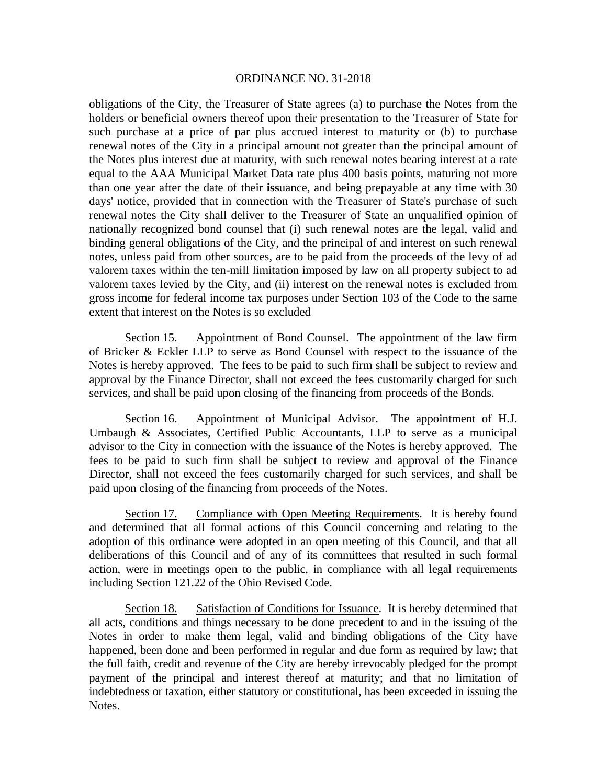obligations of the City, the Treasurer of State agrees (a) to purchase the Notes from the holders or beneficial owners thereof upon their presentation to the Treasurer of State for such purchase at a price of par plus accrued interest to maturity or (b) to purchase renewal notes of the City in a principal amount not greater than the principal amount of the Notes plus interest due at maturity, with such renewal notes bearing interest at a rate equal to the AAA Municipal Market Data rate plus 400 basis points, maturing not more than one year after the date of their **iss**uance, and being prepayable at any time with 30 days' notice, provided that in connection with the Treasurer of State's purchase of such renewal notes the City shall deliver to the Treasurer of State an unqualified opinion of nationally recognized bond counsel that (i) such renewal notes are the legal, valid and binding general obligations of the City, and the principal of and interest on such renewal notes, unless paid from other sources, are to be paid from the proceeds of the levy of ad valorem taxes within the ten-mill limitation imposed by law on all property subject to ad valorem taxes levied by the City, and (ii) interest on the renewal notes is excluded from gross income for federal income tax purposes under Section 103 of the Code to the same extent that interest on the Notes is so excluded

Section 15. Appointment of Bond Counsel. The appointment of the law firm of Bricker & Eckler LLP to serve as Bond Counsel with respect to the issuance of the Notes is hereby approved. The fees to be paid to such firm shall be subject to review and approval by the Finance Director, shall not exceed the fees customarily charged for such services, and shall be paid upon closing of the financing from proceeds of the Bonds.

Section 16. Appointment of Municipal Advisor. The appointment of H.J. Umbaugh & Associates, Certified Public Accountants, LLP to serve as a municipal advisor to the City in connection with the issuance of the Notes is hereby approved. The fees to be paid to such firm shall be subject to review and approval of the Finance Director, shall not exceed the fees customarily charged for such services, and shall be paid upon closing of the financing from proceeds of the Notes.

Section 17. Compliance with Open Meeting Requirements. It is hereby found and determined that all formal actions of this Council concerning and relating to the adoption of this ordinance were adopted in an open meeting of this Council, and that all deliberations of this Council and of any of its committees that resulted in such formal action, were in meetings open to the public, in compliance with all legal requirements including Section 121.22 of the Ohio Revised Code.

Section 18. Satisfaction of Conditions for Issuance. It is hereby determined that all acts, conditions and things necessary to be done precedent to and in the issuing of the Notes in order to make them legal, valid and binding obligations of the City have happened, been done and been performed in regular and due form as required by law; that the full faith, credit and revenue of the City are hereby irrevocably pledged for the prompt payment of the principal and interest thereof at maturity; and that no limitation of indebtedness or taxation, either statutory or constitutional, has been exceeded in issuing the Notes.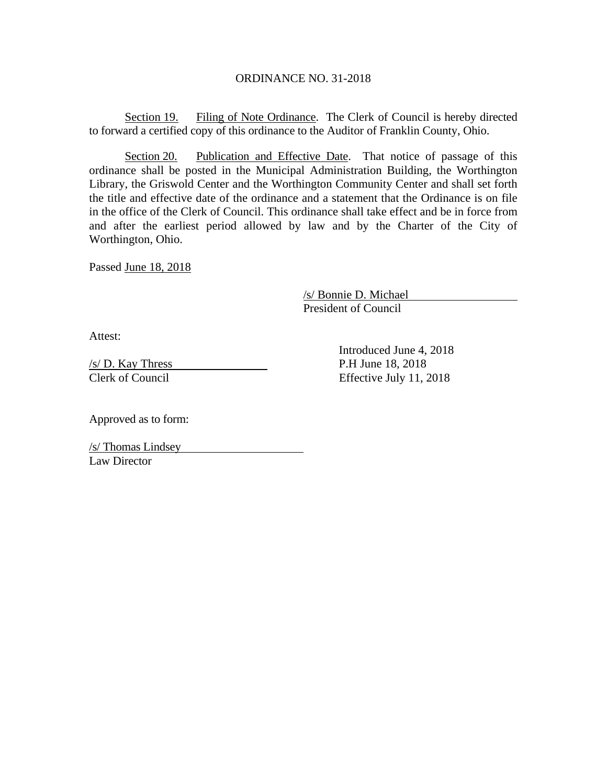Section 19. Filing of Note Ordinance. The Clerk of Council is hereby directed to forward a certified copy of this ordinance to the Auditor of Franklin County, Ohio.

Section 20. Publication and Effective Date. That notice of passage of this ordinance shall be posted in the Municipal Administration Building, the Worthington Library, the Griswold Center and the Worthington Community Center and shall set forth the title and effective date of the ordinance and a statement that the Ordinance is on file in the office of the Clerk of Council. This ordinance shall take effect and be in force from and after the earliest period allowed by law and by the Charter of the City of Worthington, Ohio.

Passed June 18, 2018

 /s/ Bonnie D. Michael President of Council

Attest:

 $\frac{\sqrt{s}}{D}$ . Kay Thress P.H June 18, 2018 Clerk of Council Effective July 11, 2018

Introduced June 4, 2018

Approved as to form:

/s/ Thomas Lindsey Law Director